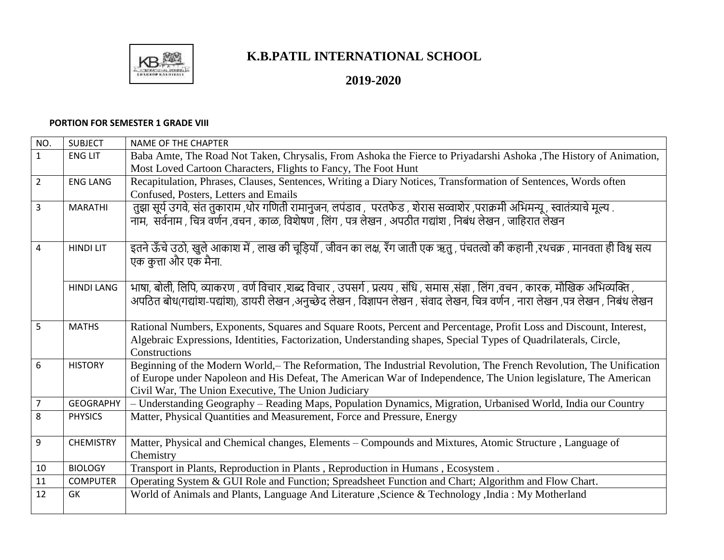

## **K.B.PATIL INTERNATIONAL SCHOOL**

## **2019-2020**

## **PORTION FOR SEMESTER 1 GRADE VIII**

| NO.            | <b>SUBJECT</b>    | <b>NAME OF THE CHAPTER</b>                                                                                                          |
|----------------|-------------------|-------------------------------------------------------------------------------------------------------------------------------------|
| $\mathbf{1}$   | <b>ENG LIT</b>    | Baba Amte, The Road Not Taken, Chrysalis, From Ashoka the Fierce to Priyadarshi Ashoka ,The History of Animation,                   |
|                |                   | Most Loved Cartoon Characters, Flights to Fancy, The Foot Hunt                                                                      |
| $\overline{2}$ | <b>ENG LANG</b>   | Recapitulation, Phrases, Clauses, Sentences, Writing a Diary Notices, Transformation of Sentences, Words often                      |
|                |                   | Confused, Posters, Letters and Emails                                                                                               |
| $\overline{3}$ | <b>MARATHI</b>    | तुझा सूर्य उगवे, संत तुकाराम ,थोर गणिती रामानुजन, लपंडाव , परतफेड , शेरास सव्वाशेर ,पराक्रमी अभिमन्यू , स्वातंत्र्याचे मूल्य .      |
|                |                   | नाम,  सर्वनाम , चित्र वर्णन ,वचन , काळ, विशेषण , लिंग , पत्र लेखन , अपठीत गद्यांश , निबंध लेखन , जाहिरात लेखन                       |
|                |                   |                                                                                                                                     |
| 4              | <b>HINDI LIT</b>  | इतने ऊँचे उठो, खुले आकाश में , लाख की चूड़ियाँ , जीवन का लक्ष, रँग जाती एक ऋतु , पंचतत्वो की कहानी ,रथचक्र , मानवता ही विश्व सत्य   |
|                |                   | एक कुत्ता और एक मैना.                                                                                                               |
|                |                   |                                                                                                                                     |
|                | <b>HINDI LANG</b> | भाषा, बोली, लिपि, व्याकरण , वर्ण विचार ,शब्द विचार , उपसर्ग , प्रत्यय , संधि , समास ,संज्ञा , लिंग ,वचन , कारक, मौखिक अभिव्यक्ति ,  |
|                |                   | अपठित बोध(गद्यांश-पद्यांश), डायरी लेखन ,अनुच्छेद लेखन , विज्ञापन लेखन , संवाद लेखन, चित्र वर्णन , नारा लेखन ,पत्र लेखन , निबंध लेखन |
|                |                   |                                                                                                                                     |
| 5              | <b>MATHS</b>      | Rational Numbers, Exponents, Squares and Square Roots, Percent and Percentage, Profit Loss and Discount, Interest,                  |
|                |                   | Algebraic Expressions, Identities, Factorization, Understanding shapes, Special Types of Quadrilaterals, Circle,                    |
|                |                   | Constructions                                                                                                                       |
| 6              | <b>HISTORY</b>    | Beginning of the Modern World,-The Reformation, The Industrial Revolution, The French Revolution, The Unification                   |
|                |                   | of Europe under Napoleon and His Defeat, The American War of Independence, The Union legislature, The American                      |
| $\overline{7}$ | <b>GEOGRAPHY</b>  | Civil War, The Union Executive, The Union Judiciary                                                                                 |
| 8              | <b>PHYSICS</b>    | - Understanding Geography - Reading Maps, Population Dynamics, Migration, Urbanised World, India our Country                        |
|                |                   | Matter, Physical Quantities and Measurement, Force and Pressure, Energy                                                             |
| 9              | <b>CHEMISTRY</b>  | Matter, Physical and Chemical changes, Elements – Compounds and Mixtures, Atomic Structure, Language of                             |
|                |                   | Chemistry                                                                                                                           |
| 10             | <b>BIOLOGY</b>    | Transport in Plants, Reproduction in Plants, Reproduction in Humans, Ecosystem.                                                     |
| 11             | <b>COMPUTER</b>   | Operating System & GUI Role and Function; Spreadsheet Function and Chart; Algorithm and Flow Chart.                                 |
| 12             | GK                | World of Animals and Plants, Language And Literature , Science & Technology , India: My Motherland                                  |
|                |                   |                                                                                                                                     |